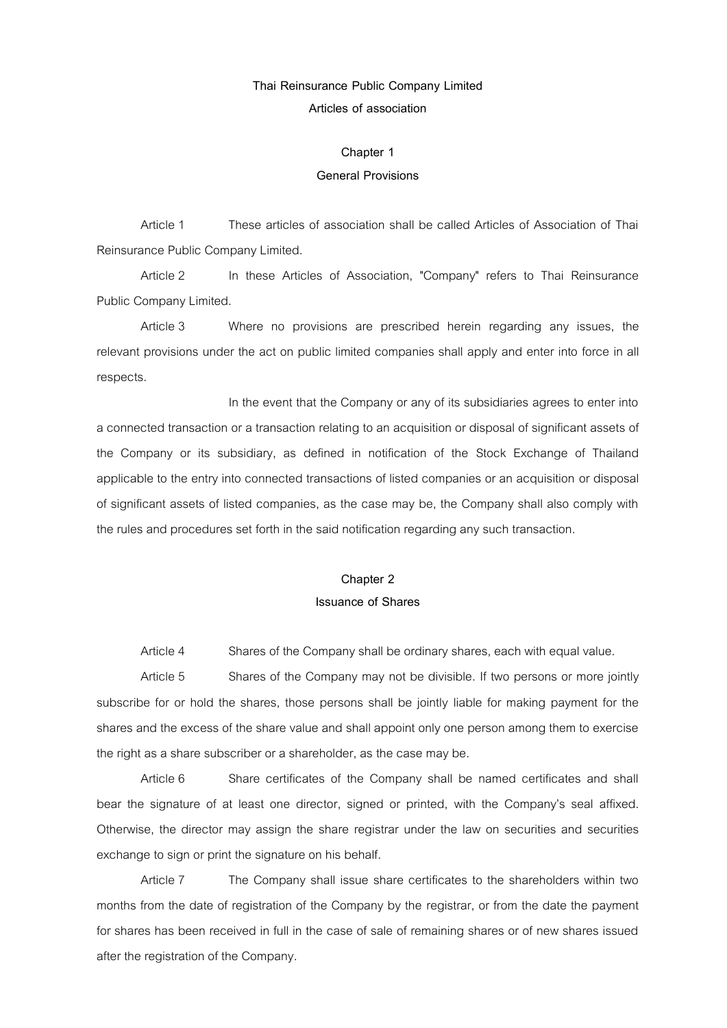### **Thai Reinsurance Public Company Limited**

**Articles of association** 

#### **Chapter 1**

#### **General Provisions**

Article 1 These articles of association shall be called Articles of Association of Thai Reinsurance Public Company Limited.

Article 2 In these Articles of Association, "Company" refers to Thai Reinsurance Public Company Limited.

Article 3 Where no provisions are prescribed herein regarding any issues, the relevant provisions under the act on public limited companies shall apply and enter into force in all respects.

In the event that the Company or any of its subsidiaries agrees to enter into a connected transaction or a transaction relating to an acquisition or disposal of significant assets of the Company or its subsidiary, as defined in notification of the Stock Exchange of Thailand applicable to the entry into connected transactions of listed companies or an acquisition or disposal of significant assets of listed companies, as the case may be, the Company shall also comply with the rules and procedures set forth in the said notification regarding any such transaction.

# **Chapter 2 Issuance of Shares**

Article 4 Shares of the Company shall be ordinary shares, each with equal value.

Article 5 Shares of the Company may not be divisible. If two persons or more jointly subscribe for or hold the shares, those persons shall be jointly liable for making payment for the shares and the excess of the share value and shall appoint only one person among them to exercise the right as a share subscriber or a shareholder, as the case may be.

Article 6 Share certificates of the Company shall be named certificates and shall bear the signature of at least one director, signed or printed, with the Company's seal affixed. Otherwise, the director may assign the share registrar under the law on securities and securities exchange to sign or print the signature on his behalf.

Article 7 The Company shall issue share certificates to the shareholders within two months from the date of registration of the Company by the registrar, or from the date the payment for shares has been received in full in the case of sale of remaining shares or of new shares issued after the registration of the Company.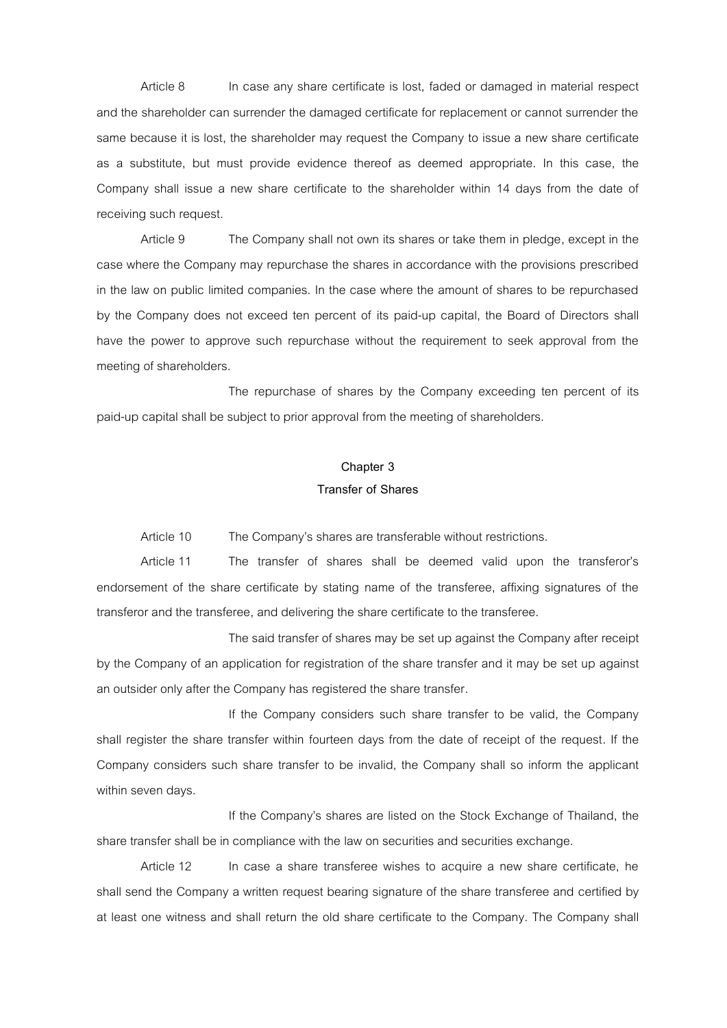Article 8 In case any share certificate is lost, faded or damaged in material respect and the shareholder can surrender the damaged certificate for replacement or cannot surrender the same because it is lost, the shareholder may request the Company to issue a new share certificate as a substitute, but must provide evidence thereof as deemed appropriate. In this case, the Company shall issue a new share certificate to the shareholder within 14 days from the date of receiving such request.

Article 9 The Company shall not own its shares or take them in pledge, except in the case where the Company may repurchase the shares in accordance with the provisions prescribed in the law on public limited companies. In the case where the amount of shares to be repurchased by the Company does not exceed ten percent of its paid-up capital, the Board of Directors shall have the power to approve such repurchase without the requirement to seek approval from the meeting of shareholders.

The repurchase of shares by the Company exceeding ten percent of its paid-up capital shall be subject to prior approval from the meeting of shareholders.

### **Chapter 3 Transfer of Shares**

Article 10 The Company's shares are transferable without restrictions.

Article 11 The transfer of shares shall be deemed valid upon the transferor's endorsement of the share certificate by stating name of the transferee, affixing signatures of the transferor and the transferee, and delivering the share certificate to the transferee.

The said transfer of shares may be set up against the Company after receipt by the Company of an application for registration of the share transfer and it may be set up against an outsider only after the Company has registered the share transfer.

If the Company considers such share transfer to be valid, the Company shall register the share transfer within fourteen days from the date of receipt of the request. If the Company considers such share transfer to be invalid, the Company shall so inform the applicant within seven days.

If the Company's shares are listed on the Stock Exchange of Thailand, the share transfer shall be in compliance with the law on securities and securities exchange.

Article 12 In case a share transferee wishes to acquire a new share certificate, he shall send the Company a written request bearing signature of the share transferee and certified by at least one witness and shall return the old share certificate to the Company. The Company shall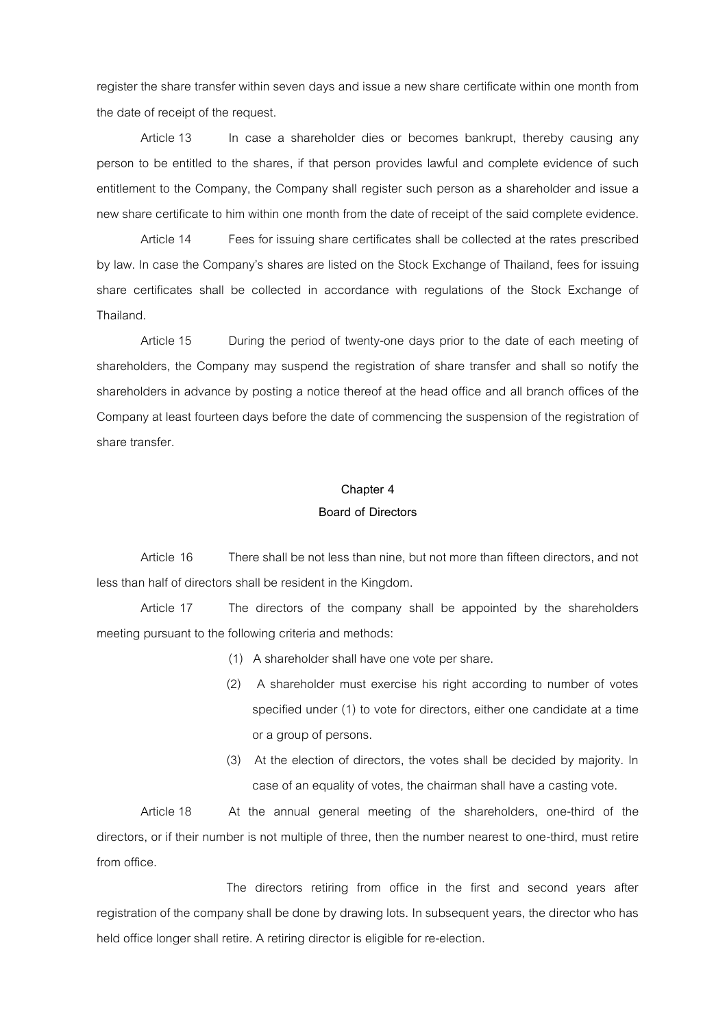register the share transfer within seven days and issue a new share certificate within one month from the date of receipt of the request.

Article 13 In case a shareholder dies or becomes bankrupt, thereby causing any person to be entitled to the shares, if that person provides lawful and complete evidence of such entitlement to the Company, the Company shall register such person as a shareholder and issue a new share certificate to him within one month from the date of receipt of the said complete evidence.

Article 14 Fees for issuing share certificates shall be collected at the rates prescribed by law. In case the Company's shares are listed on the Stock Exchange of Thailand, fees for issuing share certificates shall be collected in accordance with regulations of the Stock Exchange of Thailand.

Article 15 During the period of twenty-one days prior to the date of each meeting of shareholders, the Company may suspend the registration of share transfer and shall so notify the shareholders in advance by posting a notice thereof at the head office and all branch offices of the Company at least fourteen days before the date of commencing the suspension of the registration of share transfer.

### **Chapter 4**

#### **Board of Directors**

Article 16 There shall be not less than nine, but not more than fifteen directors, and not less than half of directors shall be resident in the Kingdom.

Article 17 The directors of the company shall be appointed by the shareholders meeting pursuant to the following criteria and methods:

- (1) A shareholder shall have one vote per share.
- (2) A shareholder must exercise his right according to number of votes specified under (1) to vote for directors, either one candidate at a time or a group of persons.
- (3) At the election of directors, the votes shall be decided by majority. In case of an equality of votes, the chairman shall have a casting vote.

Article 18 At the annual general meeting of the shareholders, one-third of the directors, or if their number is not multiple of three, then the number nearest to one-third, must retire from office.

The directors retiring from office in the first and second years after registration of the company shall be done by drawing lots. In subsequent years, the director who has held office longer shall retire. A retiring director is eligible for re-election.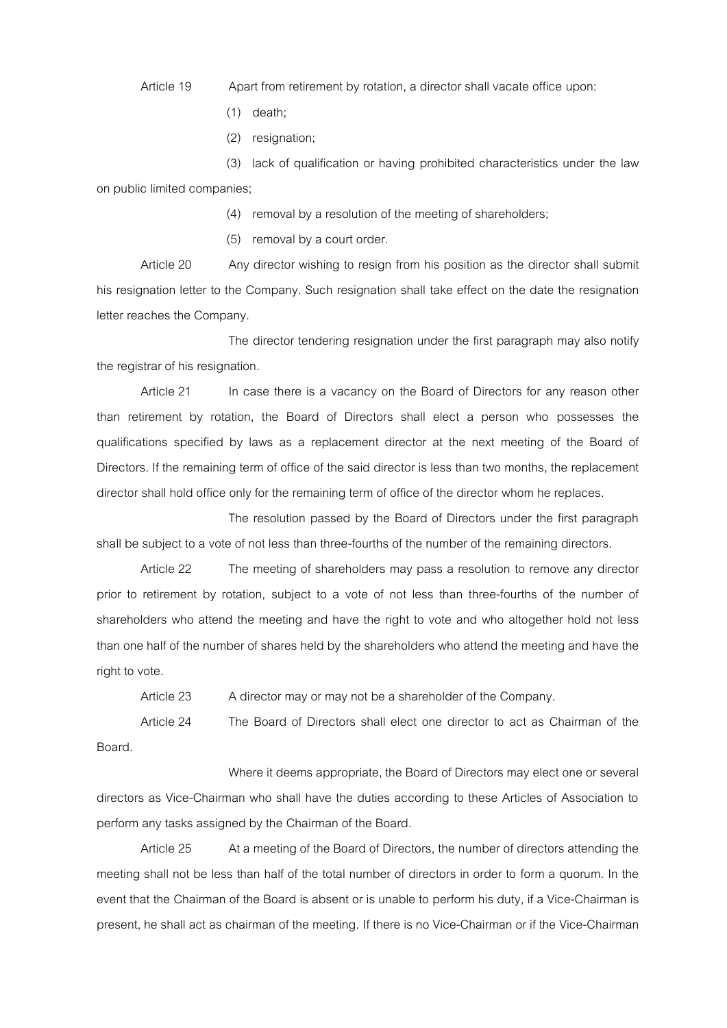Article 19 Apart from retirement by rotation, a director shall vacate office upon:

- (1) death;
- (2) resignation;

(3) lack of qualification or having prohibited characteristics under the law on public limited companies;

(4) removal by a resolution of the meeting of shareholders;

(5) removal by a court order.

Article 20 Any director wishing to resign from his position as the director shall submit his resignation letter to the Company. Such resignation shall take effect on the date the resignation letter reaches the Company.

The director tendering resignation under the first paragraph may also notify the registrar of his resignation.

Article 21 In case there is a vacancy on the Board of Directors for any reason other than retirement by rotation, the Board of Directors shall elect a person who possesses the qualifications specified by laws as a replacement director at the next meeting of the Board of Directors. If the remaining term of office of the said director is less than two months, the replacement director shall hold office only for the remaining term of office of the director whom he replaces.

The resolution passed by the Board of Directors under the first paragraph shall be subject to a vote of not less than three-fourths of the number of the remaining directors.

Article 22 The meeting of shareholders may pass a resolution to remove any director prior to retirement by rotation, subject to a vote of not less than three-fourths of the number of shareholders who attend the meeting and have the right to vote and who altogether hold not less than one half of the number of shares held by the shareholders who attend the meeting and have the right to vote.

Article 23 A director may or may not be a shareholder of the Company.

Article 24 The Board of Directors shall elect one director to act as Chairman of the Board.

Where it deems appropriate, the Board of Directors may elect one or several directors as Vice-Chairman who shall have the duties according to these Articles of Association to perform any tasks assigned by the Chairman of the Board.

Article 25 At a meeting of the Board of Directors, the number of directors attending the meeting shall not be less than half of the total number of directors in order to form a quorum. In the event that the Chairman of the Board is absent or is unable to perform his duty, if a Vice-Chairman is present, he shall act as chairman of the meeting. If there is no Vice-Chairman or if the Vice-Chairman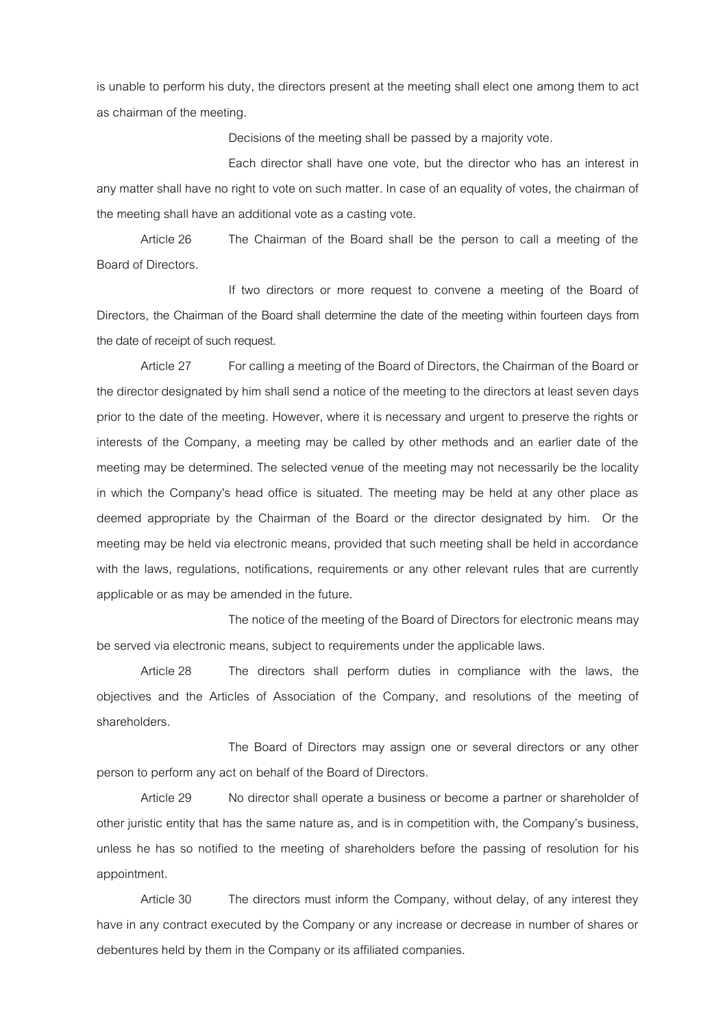is unable to perform his duty, the directors present at the meeting shall elect one among them to act as chairman of the meeting.

Decisions of the meeting shall be passed by a majority vote.

Each director shall have one vote, but the director who has an interest in any matter shall have no right to vote on such matter. In case of an equality of votes, the chairman of the meeting shall have an additional vote as a casting vote.

Article 26 The Chairman of the Board shall be the person to call a meeting of the Board of Directors.

If two directors or more request to convene a meeting of the Board of Directors, the Chairman of the Board shall determine the date of the meeting within fourteen days from the date of receipt of such request.

Article 27 For calling a meeting of the Board of Directors, the Chairman of the Board or the director designated by him shall send a notice of the meeting to the directors at least seven days prior to the date of the meeting. However, where it is necessary and urgent to preserve the rights or interests of the Company, a meeting may be called by other methods and an earlier date of the meeting may be determined. The selected venue of the meeting may not necessarily be the locality in which the Company's head office is situated. The meeting may be held at any other place as deemed appropriate by the Chairman of the Board or the director designated by him. Or the meeting may be held via electronic means, provided that such meeting shall be held in accordance with the laws, regulations, notifications, requirements or any other relevant rules that are currently applicable or as may be amended in the future.

The notice of the meeting of the Board of Directors for electronic means may be served via electronic means, subject to requirements under the applicable laws.

Article 28 The directors shall perform duties in compliance with the laws, the objectives and the Articles of Association of the Company, and resolutions of the meeting of shareholders.

The Board of Directors may assign one or several directors or any other person to perform any act on behalf of the Board of Directors.

Article 29 No director shall operate a business or become a partner or shareholder of other juristic entity that has the same nature as, and is in competition with, the Company's business, unless he has so notified to the meeting of shareholders before the passing of resolution for his appointment.

Article 30 The directors must inform the Company, without delay, of any interest they have in any contract executed by the Company or any increase or decrease in number of shares or debentures held by them in the Company or its affiliated companies.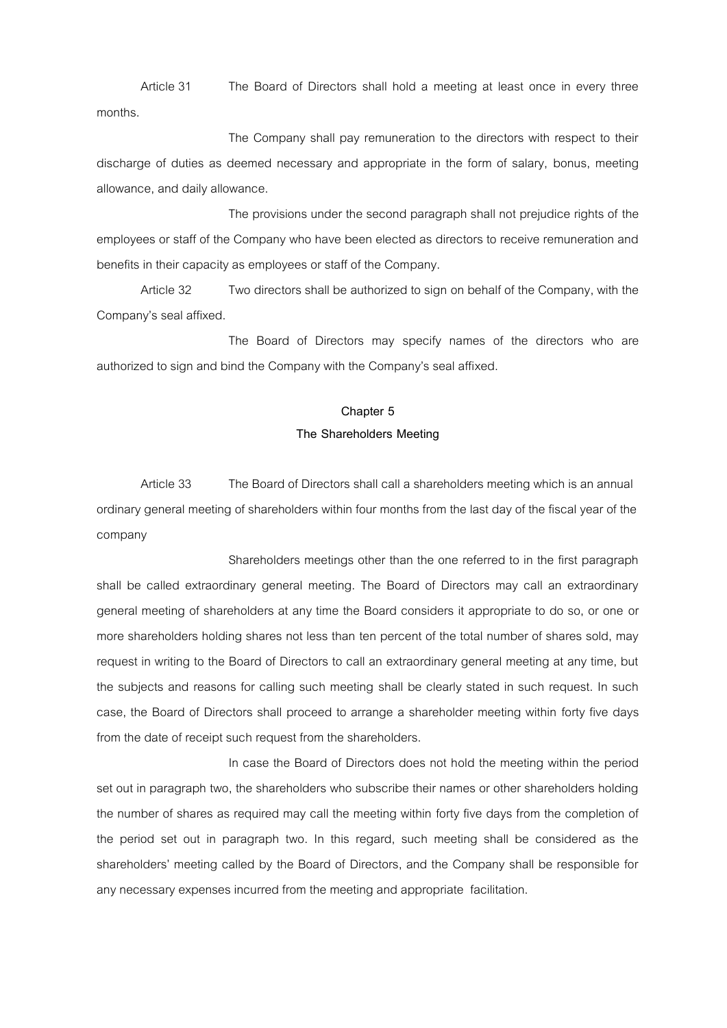Article 31 The Board of Directors shall hold a meeting at least once in every three months.

The Company shall pay remuneration to the directors with respect to their discharge of duties as deemed necessary and appropriate in the form of salary, bonus, meeting allowance, and daily allowance.

The provisions under the second paragraph shall not prejudice rights of the employees or staff of the Company who have been elected as directors to receive remuneration and benefits in their capacity as employees or staff of the Company.

Article 32 Two directors shall be authorized to sign on behalf of the Company, with the Company's seal affixed.

The Board of Directors may specify names of the directors who are authorized to sign and bind the Company with the Company's seal affixed.

## **Chapter 5 The Shareholders Meeting**

Article 33 The Board of Directors shall call a shareholders meeting which is an annual ordinary general meeting of shareholders within four months from the last day of the fiscal year of the company

Shareholders meetings other than the one referred to in the first paragraph shall be called extraordinary general meeting. The Board of Directors may call an extraordinary general meeting of shareholders at any time the Board considers it appropriate to do so, or one or more shareholders holding shares not less than ten percent of the total number of shares sold, may request in writing to the Board of Directors to call an extraordinary general meeting at any time, but the subjects and reasons for calling such meeting shall be clearly stated in such request. In such case, the Board of Directors shall proceed to arrange a shareholder meeting within forty five days from the date of receipt such request from the shareholders.

In case the Board of Directors does not hold the meeting within the period set out in paragraph two, the shareholders who subscribe their names or other shareholders holding the number of shares as required may call the meeting within forty five days from the completion of the period set out in paragraph two. In this regard, such meeting shall be considered as the shareholders' meeting called by the Board of Directors, and the Company shall be responsible for any necessary expenses incurred from the meeting and appropriate facilitation.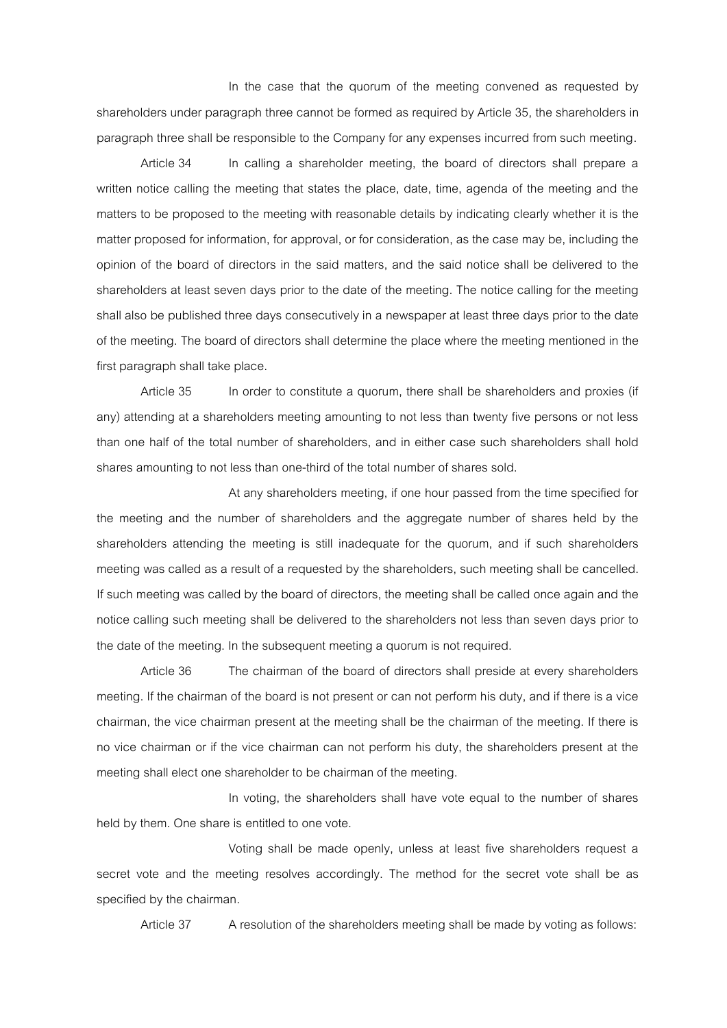In the case that the quorum of the meeting convened as requested by shareholders under paragraph three cannot be formed as required by Article 35, the shareholders in paragraph three shall be responsible to the Company for any expenses incurred from such meeting.

Article 34 In calling a shareholder meeting, the board of directors shall prepare a written notice calling the meeting that states the place, date, time, agenda of the meeting and the matters to be proposed to the meeting with reasonable details by indicating clearly whether it is the matter proposed for information, for approval, or for consideration, as the case may be, including the opinion of the board of directors in the said matters, and the said notice shall be delivered to the shareholders at least seven days prior to the date of the meeting. The notice calling for the meeting shall also be published three days consecutively in a newspaper at least three days prior to the date of the meeting. The board of directors shall determine the place where the meeting mentioned in the first paragraph shall take place.

Article 35 In order to constitute a quorum, there shall be shareholders and proxies (if any) attending at a shareholders meeting amounting to not less than twenty five persons or not less than one half of the total number of shareholders, and in either case such shareholders shall hold shares amounting to not less than one-third of the total number of shares sold.

At any shareholders meeting, if one hour passed from the time specified for the meeting and the number of shareholders and the aggregate number of shares held by the shareholders attending the meeting is still inadequate for the quorum, and if such shareholders meeting was called as a result of a requested by the shareholders, such meeting shall be cancelled. If such meeting was called by the board of directors, the meeting shall be called once again and the notice calling such meeting shall be delivered to the shareholders not less than seven days prior to the date of the meeting. In the subsequent meeting a quorum is not required.

Article 36 The chairman of the board of directors shall preside at every shareholders meeting. If the chairman of the board is not present or can not perform his duty, and if there is a vice chairman, the vice chairman present at the meeting shall be the chairman of the meeting. If there is no vice chairman or if the vice chairman can not perform his duty, the shareholders present at the meeting shall elect one shareholder to be chairman of the meeting.

In voting, the shareholders shall have vote equal to the number of shares held by them. One share is entitled to one vote.

Voting shall be made openly, unless at least five shareholders request a secret vote and the meeting resolves accordingly. The method for the secret vote shall be as specified by the chairman.

Article 37 A resolution of the shareholders meeting shall be made by voting as follows: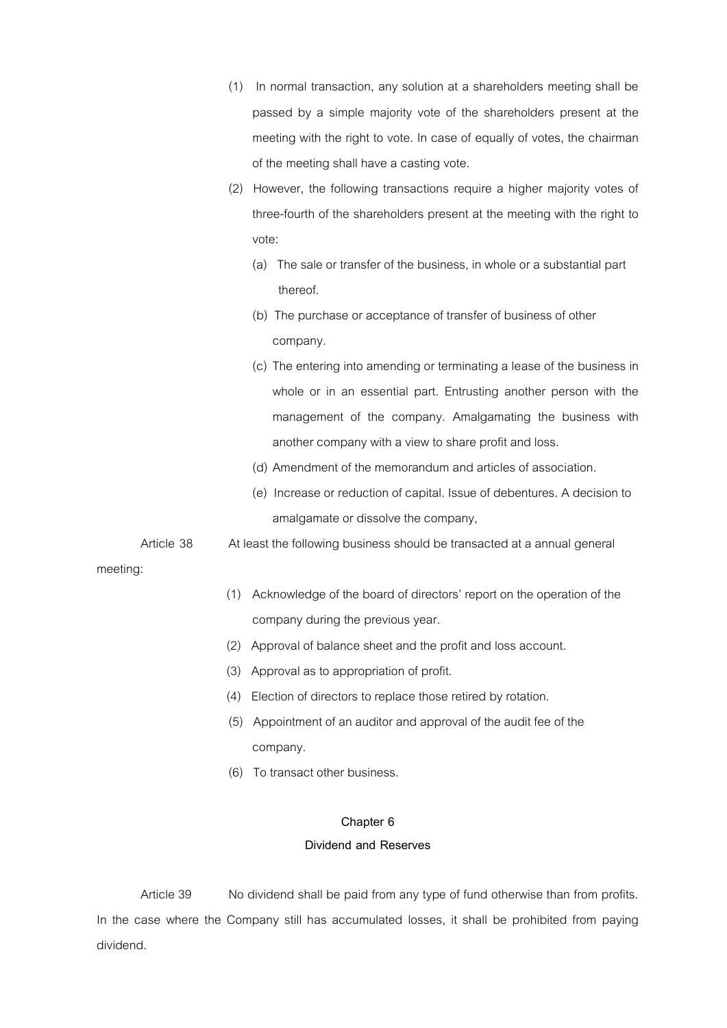- (1) In normal transaction, any solution at a shareholders meeting shall be passed by a simple majority vote of the shareholders present at the meeting with the right to vote. In case of equally of votes, the chairman of the meeting shall have a casting vote.
- (2) However, the following transactions require a higher majority votes of three-fourth of the shareholders present at the meeting with the right to vote:
	- (a) The sale or transfer of the business, in whole or a substantial part thereof.
	- (b) The purchase or acceptance of transfer of business of other company.
	- (c) The entering into amending or terminating a lease of the business in whole or in an essential part. Entrusting another person with the management of the company. Amalgamating the business with another company with a view to share profit and loss.
	- (d) Amendment of the memorandum and articles of association.
	- (e) Increase or reduction of capital. Issue of debentures. A decision to amalgamate or dissolve the company,
- Article 38 At least the following business should be transacted at a annual general

meeting:

- (1) Acknowledge of the board of directors' report on the operation of the company during the previous year.
- (2) Approval of balance sheet and the profit and loss account.
- (3) Approval as to appropriation of profit.
- (4) Election of directors to replace those retired by rotation.
- (5) Appointment of an auditor and approval of the audit fee of the company.
- (6) To transact other business.

### **Chapter 6**

### **Dividend and Reserves**

Article 39 No dividend shall be paid from any type of fund otherwise than from profits. In the case where the Company still has accumulated losses, it shall be prohibited from paying dividend.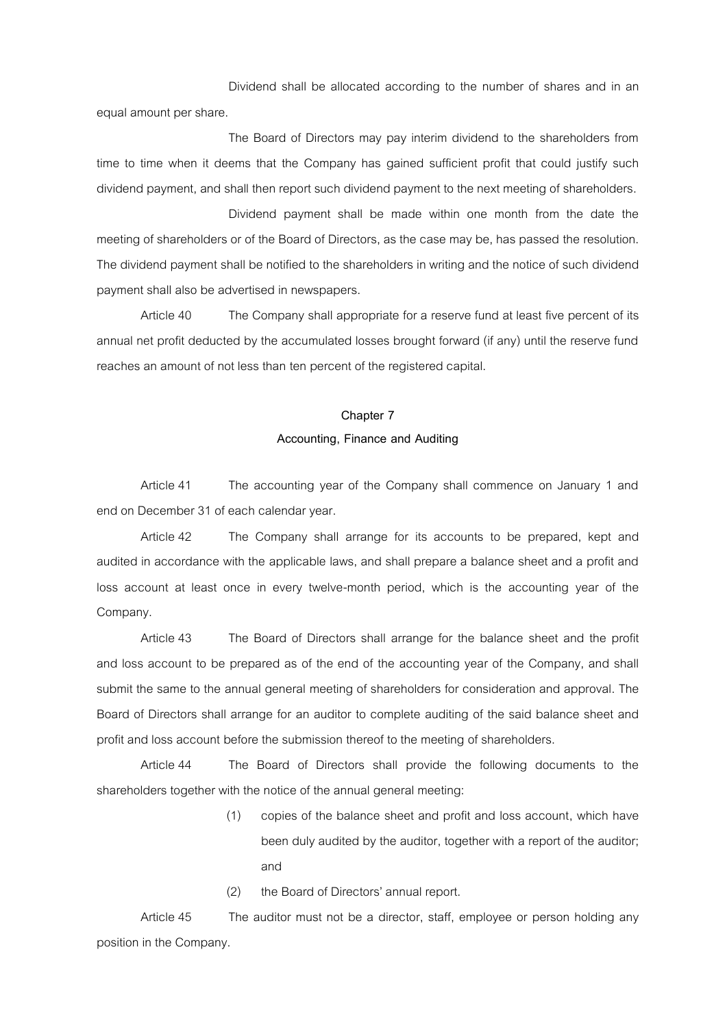Dividend shall be allocated according to the number of shares and in an equal amount per share.

The Board of Directors may pay interim dividend to the shareholders from time to time when it deems that the Company has gained sufficient profit that could justify such dividend payment, and shall then report such dividend payment to the next meeting of shareholders.

Dividend payment shall be made within one month from the date the meeting of shareholders or of the Board of Directors, as the case may be, has passed the resolution. The dividend payment shall be notified to the shareholders in writing and the notice of such dividend payment shall also be advertised in newspapers.

Article 40 The Company shall appropriate for a reserve fund at least five percent of its annual net profit deducted by the accumulated losses brought forward (if any) until the reserve fund reaches an amount of not less than ten percent of the registered capital.

#### **Chapter 7**

### **Accounting, Finance and Auditing**

Article 41 The accounting year of the Company shall commence on January 1 and end on December 31 of each calendar year.

Article 42 The Company shall arrange for its accounts to be prepared, kept and audited in accordance with the applicable laws, and shall prepare a balance sheet and a profit and loss account at least once in every twelve-month period, which is the accounting year of the Company.

Article 43 The Board of Directors shall arrange for the balance sheet and the profit and loss account to be prepared as of the end of the accounting year of the Company, and shall submit the same to the annual general meeting of shareholders for consideration and approval. The Board of Directors shall arrange for an auditor to complete auditing of the said balance sheet and profit and loss account before the submission thereof to the meeting of shareholders.

Article 44 The Board of Directors shall provide the following documents to the shareholders together with the notice of the annual general meeting:

- (1) copies of the balance sheet and profit and loss account, which have been duly audited by the auditor, together with a report of the auditor; and
- (2) the Board of Directors' annual report.

Article 45 The auditor must not be a director, staff, employee or person holding any position in the Company.